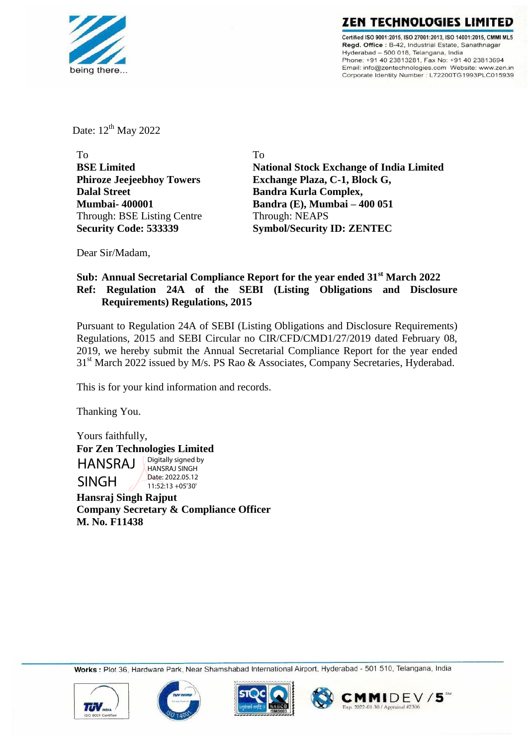

ZEN TECHNOLOGIES LIMITED

Certified ISO 9001:2015, ISO 27001:2013, ISO 14001:2015, CMMI ML5 Regd. Office: B-42, Industrial Estate, Sanathnagar Hyderabad - 500 018, Telangana, India Phone: +91 40 23813281, Fax No: +91 40 23813694 Email: info@zentechnologies.com Website: www.zen.in Corporate Identity Number : L72200TG1993PLC015939

Date: 12<sup>th</sup> May 2022

| To                               | To                                              |
|----------------------------------|-------------------------------------------------|
| <b>BSE Limited</b>               | <b>National Stock Exchange of India Limited</b> |
| <b>Phiroze Jeejeebhoy Towers</b> | Exchange Plaza, C-1, Block G,                   |
| <b>Dalal Street</b>              | <b>Bandra Kurla Complex,</b>                    |
| <b>Mumbai-400001</b>             | Bandra (E), Mumbai - 400 051                    |
| Through: BSE Listing Centre      | Through: NEAPS                                  |
| <b>Security Code: 533339</b>     | <b>Symbol/Security ID: ZENTEC</b>               |

Dear Sir/Madam,

# **Sub: Annual Secretarial Compliance Report for the year ended 31st March 2022 Ref: Regulation 24A of the SEBI (Listing Obligations and Disclosure Requirements) Regulations, 2015**

Pursuant to Regulation 24A of SEBI (Listing Obligations and Disclosure Requirements) Regulations, 2015 and SEBI Circular no CIR/CFD/CMD1/27/2019 dated February 08, 2019, we hereby submit the Annual Secretarial Compliance Report for the year ended 31<sup>st</sup> March 2022 issued by M/s. PS Rao & Associates, Company Secretaries, Hyderabad.

This is for your kind information and records.

Thanking You.

Yours faithfully, **For Zen Technologies Limited Hansraj Singh Rajput Company Secretary & Compliance Officer M. No. F11438 HANSRAJ** SINGH Digitally signed by HANSRAJ SINGH Date: 2022.05.12 11:52:13 +05'30'

Works : Plot 36, Hardware Park, Near Shamshabad International Airport, Hyderabad - 501 510, Telangana, India







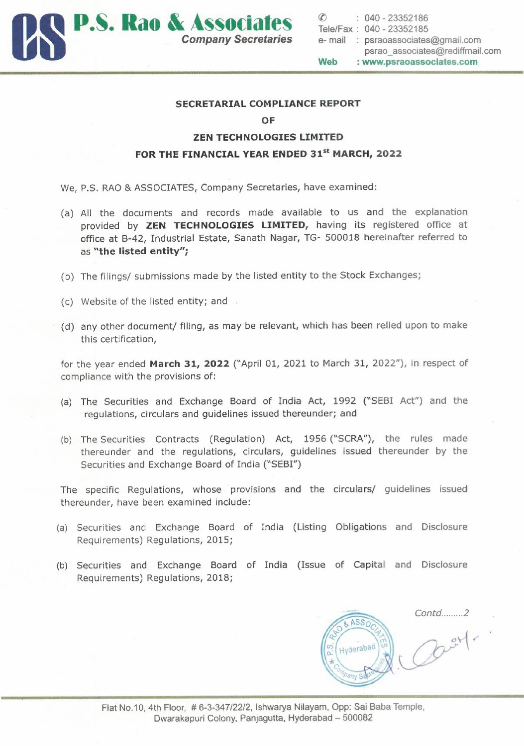

#### **SECRETARIAL COMPLIANCE REPORT**

**OF** 

#### **ZEN TECHNOLOGIES LIMITED**

### **FOR THE FINANCIAL YEAR ENDED 31st MARCH, 2022**

- We, P.S. RAO & ASSOCIATES, Company Secretaries, have examined:
- (a) All the documents and records made available to us and the explanation provided by **ZEN TECHNOLOGIES LIMITED,** having its registered office at office at B-42, Industrial Estate, Sanath Nagar, TG- 500018 hereinafter referred to as **"the listed entity";**
- (b) The filings/ submissions made by the listed entity to the Stock Exchanges;
- (c) Website of the listed entity; and
- (d) any other document/ filing, as may be relevant, which has been relied upon to make this certification,

for the year ended **March 31, 2022** ("April 01, 2021 to March 31, 2022"), in respect of compliance with the provisions of:

- (a) The Securities and Exchange Board of India Act, 1992 ("SEBI Act") and the regulations, circulars and guidelines issued thereunder; and
- (b) The Securities Contracts (Regulation) Act, 1956 (''SCRA"), the rules made thereunder and the regulations, circulars, guidelines issued thereunder by the Securities and Exchange Board of India ("SEBI")

The specific Regulations, whose provisions and the circulars/ guidelines issued thereunder, have been examined include:

- (a) Securities and Exchange Board of India (Listing Obligations and Disclosure Requirements) Regulations, 2015;
- (b) Securities and Exchange Board of India (Issue of Capital and Disclosure Requirements) Regulations, 2018;

Contd .........2

Cost-

& ASSO

Hyderabad

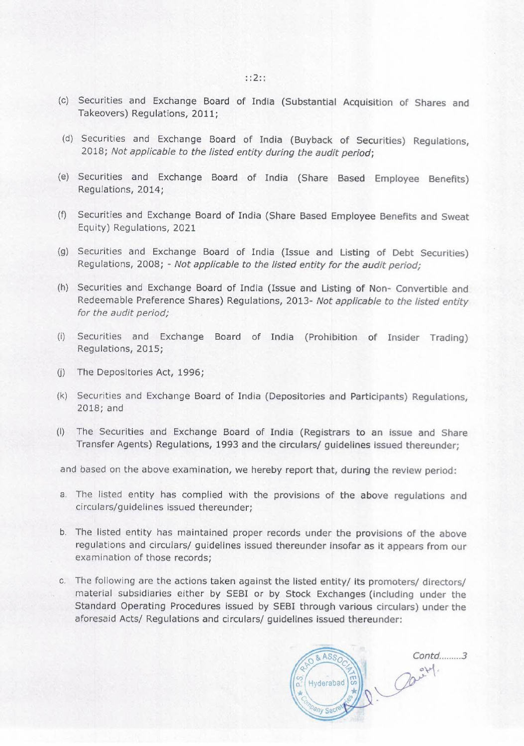- (c) Securities and Exchange Board of India (Substantial Acquisition of Shares and Takeovers) Regulations, 2011;
- (d) Securities and Exchange Board of India (Buyback of Securities) Regulations, 2018; *Not applicable to the listed entity during the audit period;*
- (e) Securities and Exchange Board of India (Share Based Employee Benefits) Regulations, 2014;
- (f) Securities and Exchange Board of India (Share Based Employee Benefits and Sweat Equity) Regulations, 2021
- (g) Securities and Exchange Board of India (Issue and Listing of Debt Securities) Regulations, 2008; - *Not applicable to the listed entity for the audit period;*
- (h) Securities and Exchange Board of India (Issue and Listing of Non- Convertible and Redeemable Preference Shares) Regulations, 2013- *Not applicable to the listed entity for the audit period;*
- (i) Securities and Exchange Board of India (Prohibition of Insider Trading) Regulations, 2015;
- (j) The Depositories Act, 1996;
- (k) Securities and Exchange Board of India (Depositories and Participants) Regulations, 2018; and
- (I) The Securities and Exchange Board of India (Registrars to an issue and Share Transfer Agents) Regulations, 1993 and the circulars/ guidelines issued thereunder;

and based on the above examination, we hereby report that, during the review period:

- a. The listed entity has complied with the provisions of the above regulations and circulars/guidelines issued thereunder;
- b. The listed entity has maintained proper records under the provisions of the above regulations and circulars/ guidelines issued thereunder insofar as it appears from our examination of those records;
- c. The following are the actions taken against the listed entity/ its promoters/ directors/ material subsidiaries either by SEBI or by Stock Exchanges (including under the Standard Operating Procedures issued by SEBI through various circulars) under the aforesaid Acts/ Regulations and circulars/ guidelines issued thereunder: